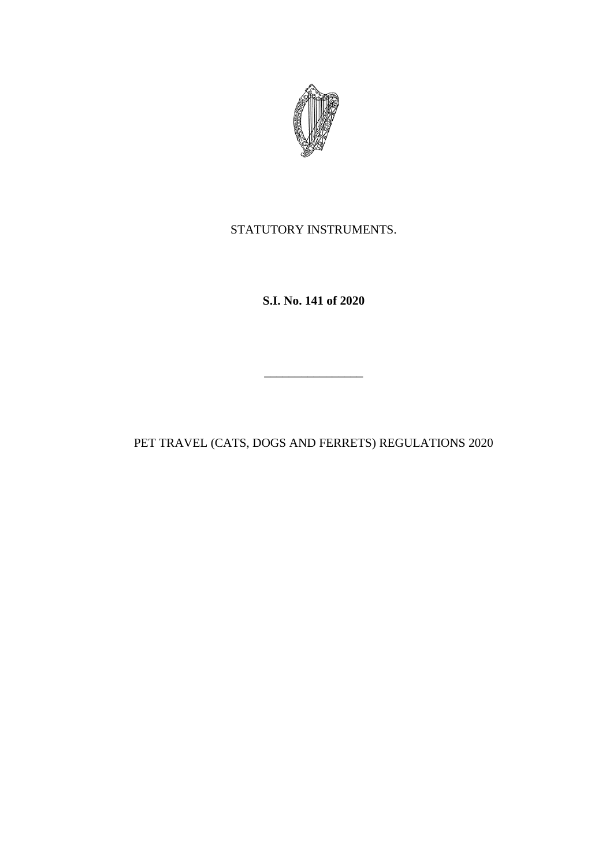

STATUTORY INSTRUMENTS.

**S.I. No. 141 of 2020**

PET TRAVEL (CATS, DOGS AND FERRETS) REGULATIONS 2020

 $\mathcal{L}=\mathcal{L}^{\mathcal{L}}$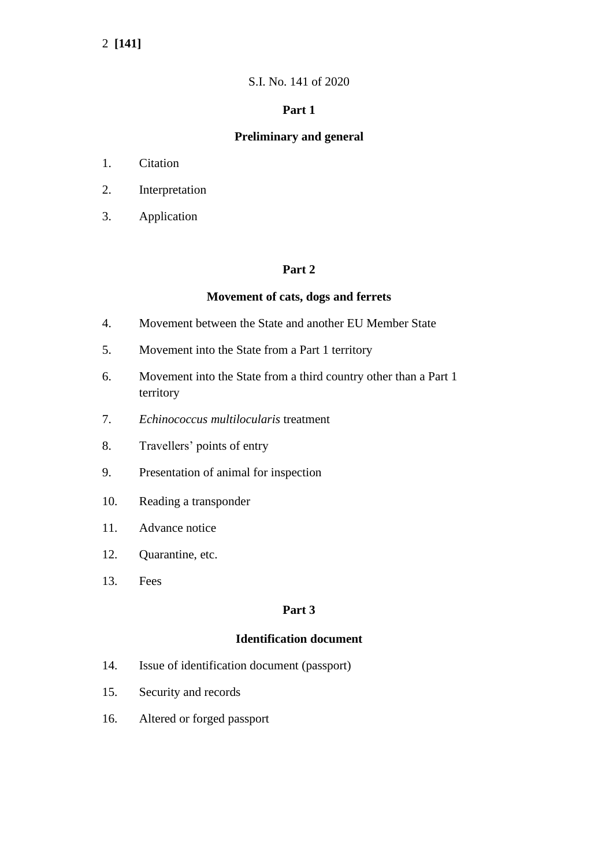# 2 **[141]**

# S.I. No. 141 of 2020

# **Part 1**

# **Preliminary and general**

- 1. Citation
- 2. Interpretation
- 3. Application

# **Part 2**

## **Movement of cats, dogs and ferrets**

- 4. Movement between the State and another EU Member State
- 5. Movement into the State from a Part 1 territory
- 6. Movement into the State from a third country other than a Part 1 territory
- 7. *Echinococcus multilocularis* treatment
- 8. Travellers' points of entry
- 9. Presentation of animal for inspection
- 10. Reading a transponder
- 11. Advance notice
- 12. Quarantine, etc.
- 13. Fees

## **Part 3**

# **Identification document**

- 14. Issue of identification document (passport)
- 15. Security and records
- 16. Altered or forged passport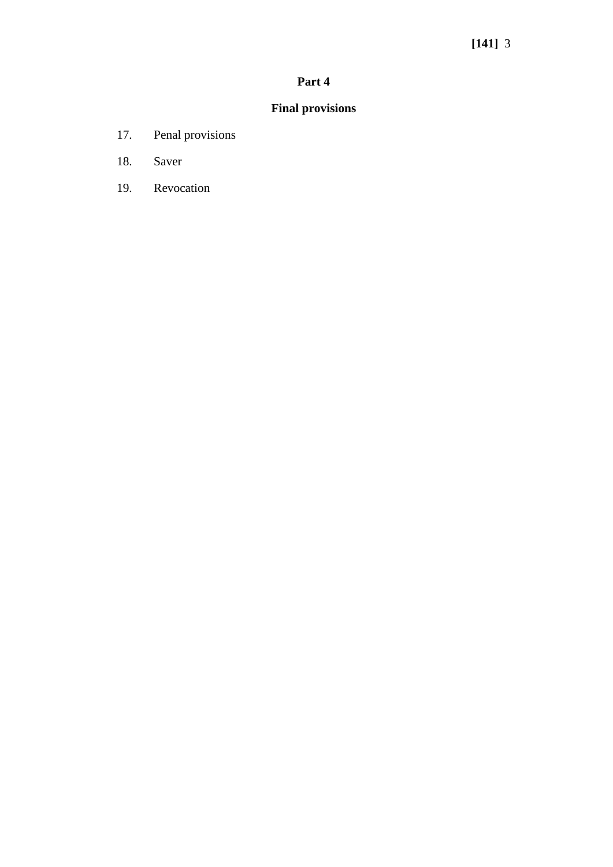# **Part 4**

# **Final provisions**

- 17. Penal provisions
- 18. Saver
- 19. Revocation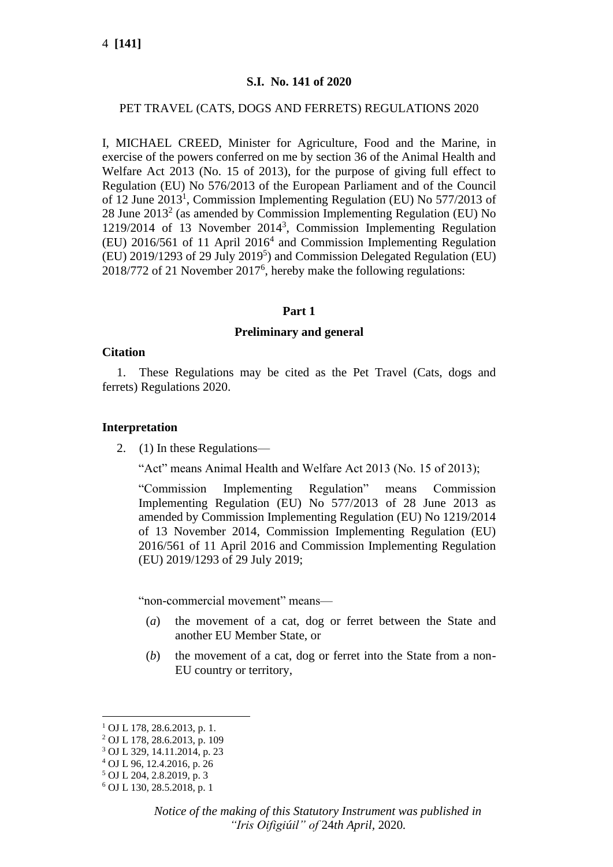# **S.I. No. 141 of 2020**

## PET TRAVEL (CATS, DOGS AND FERRETS) REGULATIONS 2020

I, MICHAEL CREED, Minister for Agriculture, Food and the Marine, in exercise of the powers conferred on me by section 36 of the Animal Health and Welfare Act 2013 (No. 15 of 2013), for the purpose of giving full effect to Regulation (EU) No 576/2013 of the European Parliament and of the Council of 12 June 2013<sup>1</sup>, Commission Implementing Regulation (EU) No 577/2013 of 28 June  $2013<sup>2</sup>$  (as amended by Commission Implementing Regulation (EU) No 1219/2014 of 13 November 2014<sup>3</sup> , Commission Implementing Regulation (EU) 2016/561 of 11 April 2016<sup>4</sup> and Commission Implementing Regulation (EU) 2019/1293 of 29 July 2019<sup>5</sup>) and Commission Delegated Regulation (EU) 2018/772 of 21 November 2017<sup>6</sup>, hereby make the following regulations:

#### **Part 1**

#### **Preliminary and general**

#### **Citation**

1. These Regulations may be cited as the Pet Travel (Cats, dogs and ferrets) Regulations 2020.

#### **Interpretation**

2. (1) In these Regulations—

"Act" means Animal Health and Welfare Act 2013 (No. 15 of 2013);

"Commission Implementing Regulation" means Commission Implementing Regulation (EU) No 577/2013 of 28 June 2013 as amended by Commission Implementing Regulation (EU) No 1219/2014 of 13 November 2014, Commission Implementing Regulation (EU) 2016/561 of 11 April 2016 and Commission Implementing Regulation (EU) 2019/1293 of 29 July 2019;

"non-commercial movement" means—

- (*a*) the movement of a cat, dog or ferret between the State and another EU Member State, or
- (*b*) the movement of a cat, dog or ferret into the State from a non-EU country or territory,

<sup>1</sup> OJ L 178, 28.6.2013, p. 1.

<sup>2</sup> OJ L 178, 28.6.2013, p. 109

<sup>3</sup> OJ L 329, 14.11.2014, p. 23

<sup>4</sup> OJ L 96, 12.4.2016, p. 26

 $5$  OJ L 204, 2.8.2019, p. 3

<sup>6</sup> OJ L 130, 28.5.2018, p. 1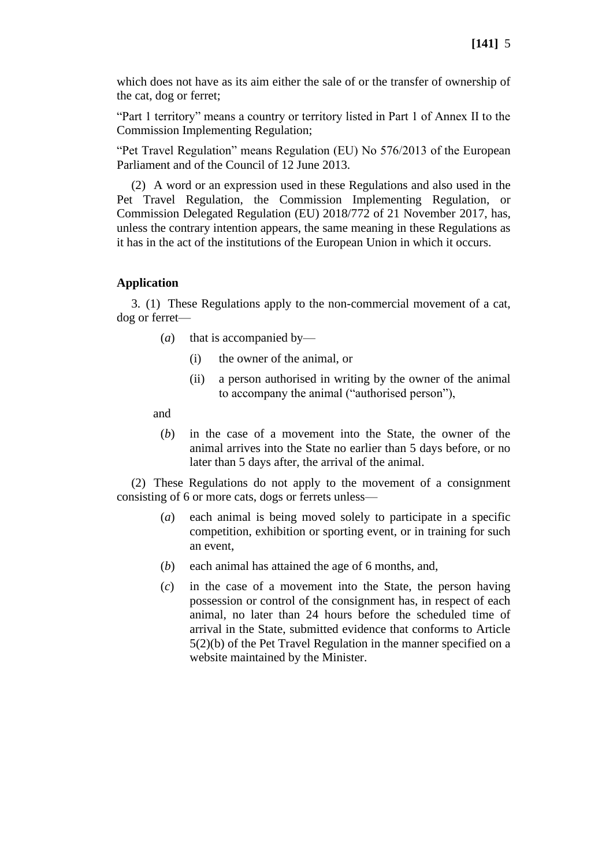which does not have as its aim either the sale of or the transfer of ownership of the cat, dog or ferret;

"Part 1 territory" means a country or territory listed in Part 1 of Annex II to the Commission Implementing Regulation;

"Pet Travel Regulation" means Regulation (EU) No 576/2013 of the European Parliament and of the Council of 12 June 2013.

(2) A word or an expression used in these Regulations and also used in the Pet Travel Regulation, the Commission Implementing Regulation, or Commission Delegated Regulation (EU) 2018/772 of 21 November 2017, has, unless the contrary intention appears, the same meaning in these Regulations as it has in the act of the institutions of the European Union in which it occurs.

#### **Application**

3. (1) These Regulations apply to the non-commercial movement of a cat, dog or ferret—

- (*a*) that is accompanied by—
	- (i) the owner of the animal, or
	- (ii) a person authorised in writing by the owner of the animal to accompany the animal ("authorised person"),

and

(*b*) in the case of a movement into the State, the owner of the animal arrives into the State no earlier than 5 days before, or no later than 5 days after, the arrival of the animal.

(2) These Regulations do not apply to the movement of a consignment consisting of 6 or more cats, dogs or ferrets unless—

- (*a*) each animal is being moved solely to participate in a specific competition, exhibition or sporting event, or in training for such an event,
- (*b*) each animal has attained the age of 6 months, and,
- (*c*) in the case of a movement into the State, the person having possession or control of the consignment has, in respect of each animal, no later than 24 hours before the scheduled time of arrival in the State, submitted evidence that conforms to Article 5(2)(b) of the Pet Travel Regulation in the manner specified on a website maintained by the Minister.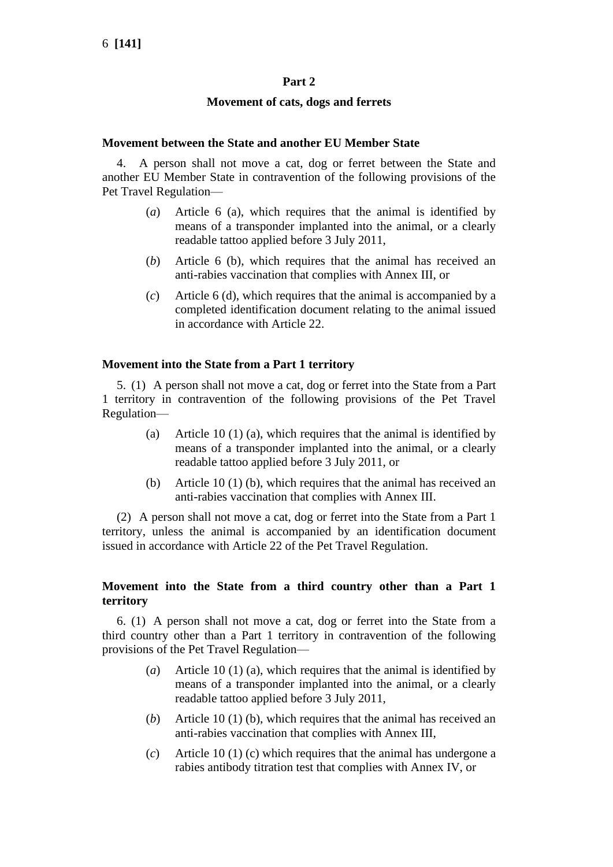# **Part 2**

## **Movement of cats, dogs and ferrets**

## **Movement between the State and another EU Member State**

4. A person shall not move a cat, dog or ferret between the State and another EU Member State in contravention of the following provisions of the Pet Travel Regulation—

- (*a*) Article 6 (a), which requires that the animal is identified by means of a transponder implanted into the animal, or a clearly readable tattoo applied before 3 July 2011,
- (*b*) Article 6 (b), which requires that the animal has received an anti-rabies vaccination that complies with Annex III, or
- (*c*) Article 6 (d), which requires that the animal is accompanied by a completed identification document relating to the animal issued in accordance with Article 22.

## **Movement into the State from a Part 1 territory**

5. (1) A person shall not move a cat, dog or ferret into the State from a Part 1 territory in contravention of the following provisions of the Pet Travel Regulation—

- (a) Article 10 (1) (a), which requires that the animal is identified by means of a transponder implanted into the animal, or a clearly readable tattoo applied before 3 July 2011, or
- (b) Article 10 (1) (b), which requires that the animal has received an anti-rabies vaccination that complies with Annex III.

(2) A person shall not move a cat, dog or ferret into the State from a Part 1 territory, unless the animal is accompanied by an identification document issued in accordance with Article 22 of the Pet Travel Regulation.

# **Movement into the State from a third country other than a Part 1 territory**

6. (1) A person shall not move a cat, dog or ferret into the State from a third country other than a Part 1 territory in contravention of the following provisions of the Pet Travel Regulation—

- (*a*) Article 10 (1) (a), which requires that the animal is identified by means of a transponder implanted into the animal, or a clearly readable tattoo applied before 3 July 2011,
- (*b*) Article 10 (1) (b), which requires that the animal has received an anti-rabies vaccination that complies with Annex III,
- (*c*) Article 10 (1) (c) which requires that the animal has undergone a rabies antibody titration test that complies with Annex IV, or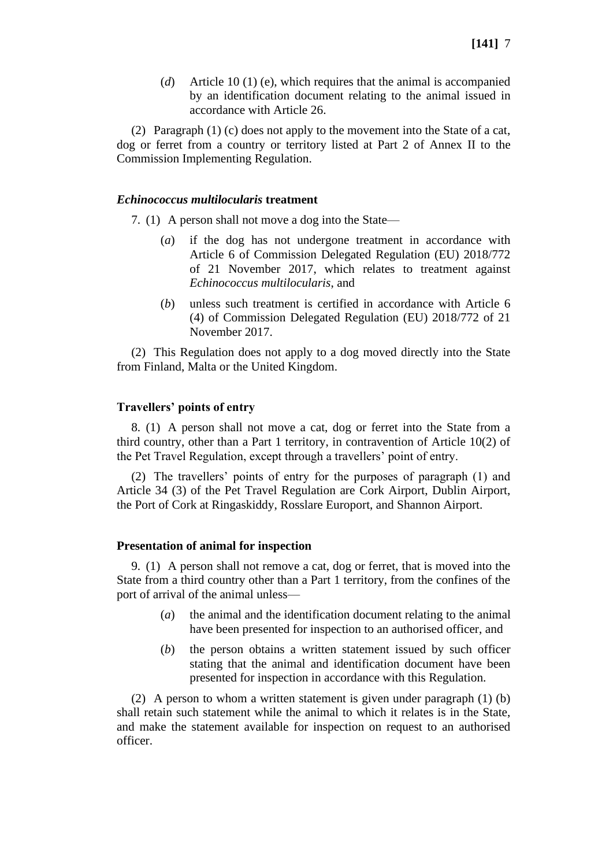(2) Paragraph (1) (c) does not apply to the movement into the State of a cat, dog or ferret from a country or territory listed at Part 2 of Annex II to the Commission Implementing Regulation.

#### *Echinococcus multilocularis* **treatment**

7. (1) A person shall not move a dog into the State—

- (*a*) if the dog has not undergone treatment in accordance with Article 6 of Commission Delegated Regulation (EU) 2018/772 of 21 November 2017, which relates to treatment against *Echinococcus multilocularis*, and
- (*b*) unless such treatment is certified in accordance with Article 6 (4) of Commission Delegated Regulation (EU) 2018/772 of 21 November 2017.

(2) This Regulation does not apply to a dog moved directly into the State from Finland, Malta or the United Kingdom.

## **Travellers' points of entry**

8. (1) A person shall not move a cat, dog or ferret into the State from a third country, other than a Part 1 territory, in contravention of Article 10(2) of the Pet Travel Regulation, except through a travellers' point of entry.

(2) The travellers' points of entry for the purposes of paragraph (1) and Article 34 (3) of the Pet Travel Regulation are Cork Airport, Dublin Airport, the Port of Cork at Ringaskiddy, Rosslare Europort, and Shannon Airport.

#### **Presentation of animal for inspection**

9. (1) A person shall not remove a cat, dog or ferret, that is moved into the State from a third country other than a Part 1 territory, from the confines of the port of arrival of the animal unless—

- (*a*) the animal and the identification document relating to the animal have been presented for inspection to an authorised officer, and
- (*b*) the person obtains a written statement issued by such officer stating that the animal and identification document have been presented for inspection in accordance with this Regulation.

(2) A person to whom a written statement is given under paragraph (1) (b) shall retain such statement while the animal to which it relates is in the State, and make the statement available for inspection on request to an authorised officer.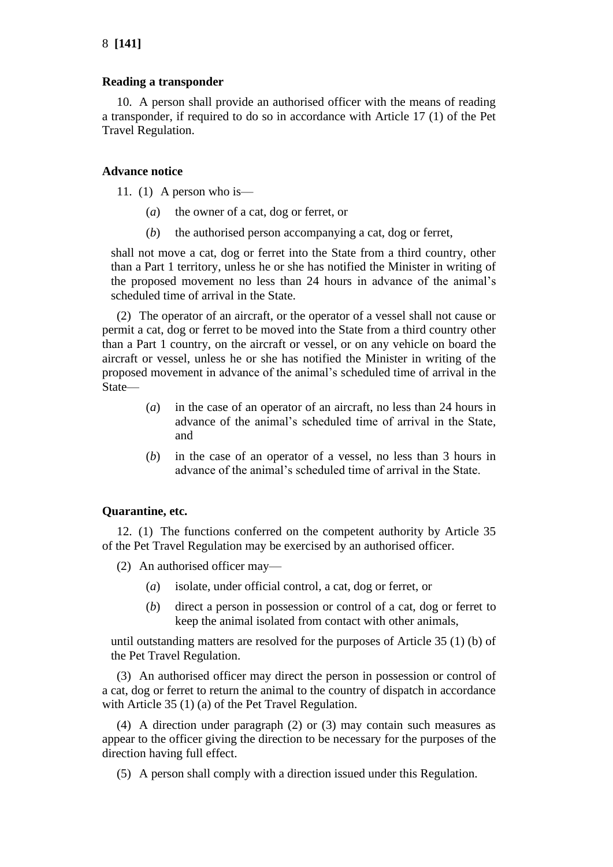# **Reading a transponder**

10. A person shall provide an authorised officer with the means of reading a transponder, if required to do so in accordance with Article 17 (1) of the Pet Travel Regulation.

# **Advance notice**

11. (1) A person who is—

- (*a*) the owner of a cat, dog or ferret, or
- (*b*) the authorised person accompanying a cat, dog or ferret,

shall not move a cat, dog or ferret into the State from a third country, other than a Part 1 territory, unless he or she has notified the Minister in writing of the proposed movement no less than 24 hours in advance of the animal's scheduled time of arrival in the State.

(2) The operator of an aircraft, or the operator of a vessel shall not cause or permit a cat, dog or ferret to be moved into the State from a third country other than a Part 1 country, on the aircraft or vessel, or on any vehicle on board the aircraft or vessel, unless he or she has notified the Minister in writing of the proposed movement in advance of the animal's scheduled time of arrival in the State—

- (*a*) in the case of an operator of an aircraft, no less than 24 hours in advance of the animal's scheduled time of arrival in the State, and
- (*b*) in the case of an operator of a vessel, no less than 3 hours in advance of the animal's scheduled time of arrival in the State.

# **Quarantine, etc.**

12. (1) The functions conferred on the competent authority by Article 35 of the Pet Travel Regulation may be exercised by an authorised officer.

- (2) An authorised officer may—
	- (*a*) isolate, under official control, a cat, dog or ferret, or
	- (*b*) direct a person in possession or control of a cat, dog or ferret to keep the animal isolated from contact with other animals,

until outstanding matters are resolved for the purposes of Article 35 (1) (b) of the Pet Travel Regulation.

(3) An authorised officer may direct the person in possession or control of a cat, dog or ferret to return the animal to the country of dispatch in accordance with Article 35 (1) (a) of the Pet Travel Regulation.

(4) A direction under paragraph (2) or (3) may contain such measures as appear to the officer giving the direction to be necessary for the purposes of the direction having full effect.

(5) A person shall comply with a direction issued under this Regulation.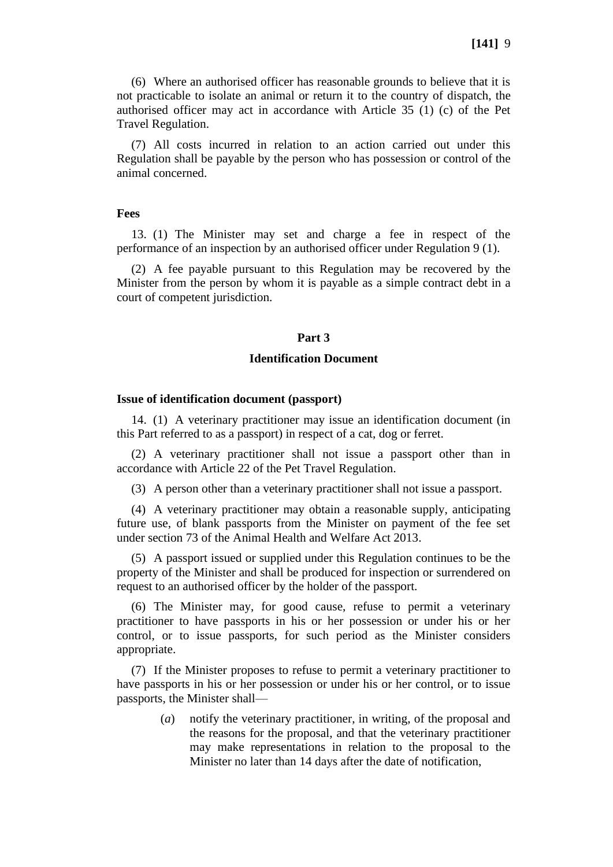(6) Where an authorised officer has reasonable grounds to believe that it is not practicable to isolate an animal or return it to the country of dispatch, the authorised officer may act in accordance with Article 35 (1) (c) of the Pet Travel Regulation.

(7) All costs incurred in relation to an action carried out under this Regulation shall be payable by the person who has possession or control of the animal concerned.

#### **Fees**

13. (1) The Minister may set and charge a fee in respect of the performance of an inspection by an authorised officer under Regulation 9 (1).

(2) A fee payable pursuant to this Regulation may be recovered by the Minister from the person by whom it is payable as a simple contract debt in a court of competent jurisdiction.

#### **Part 3**

## **Identification Document**

#### **Issue of identification document (passport)**

14. (1) A veterinary practitioner may issue an identification document (in this Part referred to as a passport) in respect of a cat, dog or ferret.

(2) A veterinary practitioner shall not issue a passport other than in accordance with Article 22 of the Pet Travel Regulation.

(3) A person other than a veterinary practitioner shall not issue a passport.

(4) A veterinary practitioner may obtain a reasonable supply, anticipating future use, of blank passports from the Minister on payment of the fee set under section 73 of the Animal Health and Welfare Act 2013.

(5) A passport issued or supplied under this Regulation continues to be the property of the Minister and shall be produced for inspection or surrendered on request to an authorised officer by the holder of the passport.

(6) The Minister may, for good cause, refuse to permit a veterinary practitioner to have passports in his or her possession or under his or her control, or to issue passports, for such period as the Minister considers appropriate.

(7) If the Minister proposes to refuse to permit a veterinary practitioner to have passports in his or her possession or under his or her control, or to issue passports, the Minister shall—

> (*a*) notify the veterinary practitioner, in writing, of the proposal and the reasons for the proposal, and that the veterinary practitioner may make representations in relation to the proposal to the Minister no later than 14 days after the date of notification,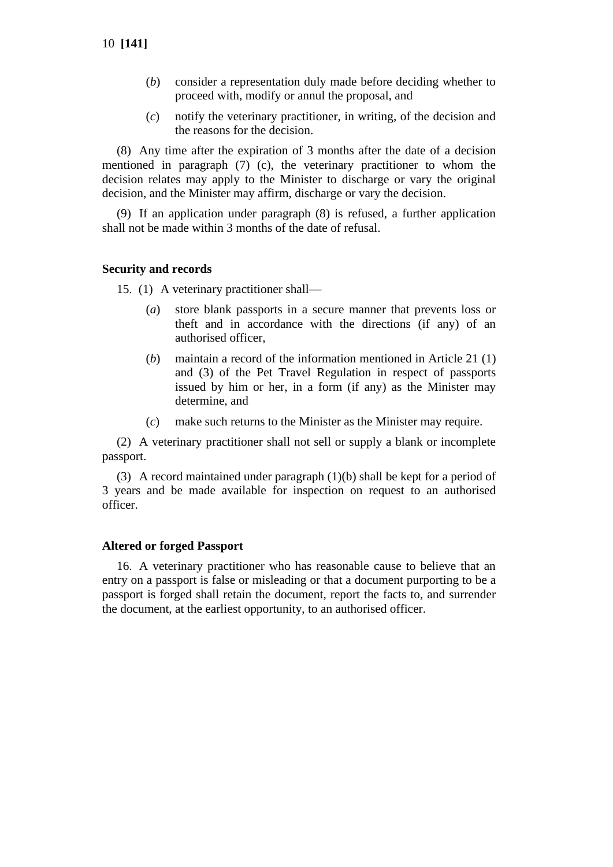- (*b*) consider a representation duly made before deciding whether to proceed with, modify or annul the proposal, and
- (*c*) notify the veterinary practitioner, in writing, of the decision and the reasons for the decision.

(8) Any time after the expiration of 3 months after the date of a decision mentioned in paragraph (7) (c), the veterinary practitioner to whom the decision relates may apply to the Minister to discharge or vary the original decision, and the Minister may affirm, discharge or vary the decision.

(9) If an application under paragraph (8) is refused, a further application shall not be made within 3 months of the date of refusal.

#### **Security and records**

15. (1) A veterinary practitioner shall—

- (*a*) store blank passports in a secure manner that prevents loss or theft and in accordance with the directions (if any) of an authorised officer,
- (*b*) maintain a record of the information mentioned in Article 21 (1) and (3) of the Pet Travel Regulation in respect of passports issued by him or her, in a form (if any) as the Minister may determine, and
- (*c*) make such returns to the Minister as the Minister may require.

(2) A veterinary practitioner shall not sell or supply a blank or incomplete passport.

(3) A record maintained under paragraph (1)(b) shall be kept for a period of 3 years and be made available for inspection on request to an authorised officer.

#### **Altered or forged Passport**

16. A veterinary practitioner who has reasonable cause to believe that an entry on a passport is false or misleading or that a document purporting to be a passport is forged shall retain the document, report the facts to, and surrender the document, at the earliest opportunity, to an authorised officer.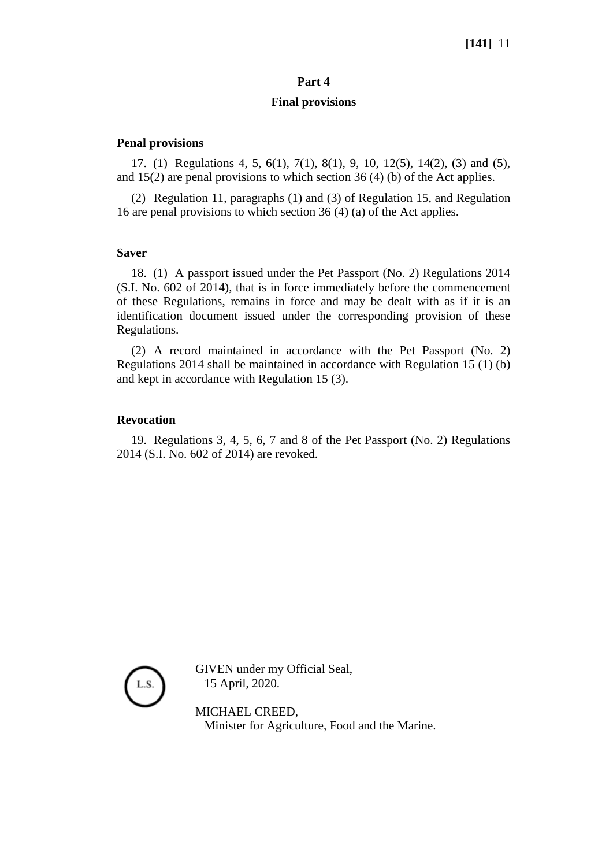# **[141]** 11

## **Part 4**

## **Final provisions**

## **Penal provisions**

17. (1) Regulations 4, 5, 6(1), 7(1), 8(1), 9, 10, 12(5), 14(2), (3) and (5), and 15(2) are penal provisions to which section 36 (4) (b) of the Act applies.

(2) Regulation 11, paragraphs (1) and (3) of Regulation 15, and Regulation 16 are penal provisions to which section 36 (4) (a) of the Act applies.

#### **Saver**

18. (1) A passport issued under the Pet Passport (No. 2) Regulations 2014 (S.I. No. 602 of 2014), that is in force immediately before the commencement of these Regulations, remains in force and may be dealt with as if it is an identification document issued under the corresponding provision of these Regulations.

(2) A record maintained in accordance with the Pet Passport (No. 2) Regulations 2014 shall be maintained in accordance with Regulation 15 (1) (b) and kept in accordance with Regulation 15 (3).

#### **Revocation**

19. Regulations 3, 4, 5, 6, 7 and 8 of the Pet Passport (No. 2) Regulations 2014 (S.I. No. 602 of 2014) are revoked.



GIVEN under my Official Seal, 15 April, 2020.

MICHAEL CREED, Minister for Agriculture, Food and the Marine.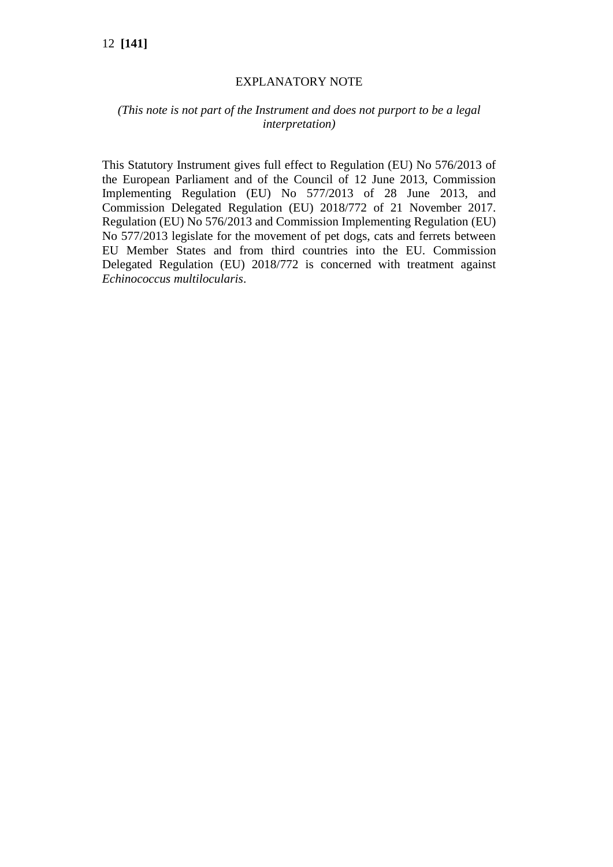# 12 **[141]**

## EXPLANATORY NOTE

# *(This note is not part of the Instrument and does not purport to be a legal interpretation)*

This Statutory Instrument gives full effect to Regulation (EU) No 576/2013 of the European Parliament and of the Council of 12 June 2013, Commission Implementing Regulation (EU) No 577/2013 of 28 June 2013, and Commission Delegated Regulation (EU) 2018/772 of 21 November 2017. Regulation (EU) No 576/2013 and Commission Implementing Regulation (EU) No 577/2013 legislate for the movement of pet dogs, cats and ferrets between EU Member States and from third countries into the EU. Commission Delegated Regulation (EU) 2018/772 is concerned with treatment against *Echinococcus multilocularis*.